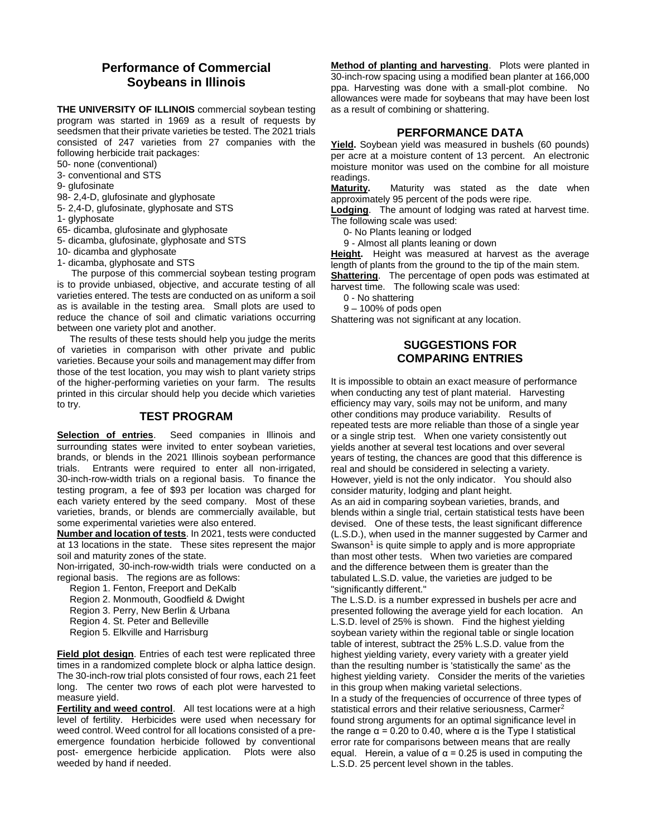## **Performance of Commercial Soybeans in Illinois**

**THE UNIVERSITY OF ILLINOIS** commercial soybean testing program was started in 1969 as a result of requests by seedsmen that their private varieties be tested. The 2021 trials consisted of 247 varieties from 27 companies with the following herbicide trait packages:

50- none (conventional)

3- conventional and STS

9- glufosinate

98- 2,4-D, glufosinate and glyphosate

5- 2,4-D, glufosinate, glyphosate and STS

1- glyphosate

65- dicamba, glufosinate and glyphosate

5- dicamba, glufosinate, glyphosate and STS

10- dicamba and glyphosate

1- dicamba, glyphosate and STS

The purpose of this commercial soybean testing program is to provide unbiased, objective, and accurate testing of all varieties entered. The tests are conducted on as uniform a soil as is available in the testing area. Small plots are used to reduce the chance of soil and climatic variations occurring between one variety plot and another.

The results of these tests should help you judge the merits of varieties in comparison with other private and public varieties. Because your soils and management may differ from those of the test location, you may wish to plant variety strips of the higher-performing varieties on your farm. The results printed in this circular should help you decide which varieties to try.

#### **TEST PROGRAM**

**Selection of entries**. Seed companies in Illinois and surrounding states were invited to enter soybean varieties, brands, or blends in the 2021 Illinois soybean performance trials. Entrants were required to enter all non-irrigated, 30-inch-row-width trials on a regional basis. To finance the testing program, a fee of \$93 per location was charged for each variety entered by the seed company. Most of these varieties, brands, or blends are commercially available, but some experimental varieties were also entered.

**Number and location of tests**. In 2021, tests were conducted at 13 locations in the state. These sites represent the major soil and maturity zones of the state.

Non-irrigated, 30-inch-row-width trials were conducted on a regional basis. The regions are as follows:

Region 1. Fenton, Freeport and DeKalb

Region 2. Monmouth, Goodfield & Dwight

Region 3. Perry, New Berlin & Urbana

Region 4. St. Peter and Belleville

Region 5. Elkville and Harrisburg

**Field plot design**. Entries of each test were replicated three times in a randomized complete block or alpha lattice design. The 30-inch-row trial plots consisted of four rows, each 21 feet long. The center two rows of each plot were harvested to measure yield.

**Fertility and weed control**. All test locations were at a high level of fertility. Herbicides were used when necessary for weed control. Weed control for all locations consisted of a preemergence foundation herbicide followed by conventional post- emergence herbicide application. Plots were also weeded by hand if needed.

**Method of planting and harvesting**. Plots were planted in 30-inch-row spacing using a modified bean planter at 166,000 ppa. Harvesting was done with a small-plot combine. No allowances were made for soybeans that may have been lost as a result of combining or shattering.

#### **PERFORMANCE DATA**

**Yield.** Soybean yield was measured in bushels (60 pounds) per acre at a moisture content of 13 percent. An electronic moisture monitor was used on the combine for all moisture readings.

**Maturity.** Maturity was stated as the date when approximately 95 percent of the pods were ripe.

**Lodging**. The amount of lodging was rated at harvest time. The following scale was used:

0- No Plants leaning or lodged

9 - Almost all plants leaning or down

**Height.** Height was measured at harvest as the average length of plants from the ground to the tip of the main stem.

**Shattering**. The percentage of open pods was estimated at harvest time. The following scale was used:

0 - No shattering

9 – 100% of pods open

Shattering was not significant at any location.

#### **SUGGESTIONS FOR COMPARING ENTRIES**

It is impossible to obtain an exact measure of performance when conducting any test of plant material. Harvesting efficiency may vary, soils may not be uniform, and many other conditions may produce variability. Results of repeated tests are more reliable than those of a single year or a single strip test. When one variety consistently out yields another at several test locations and over several years of testing, the chances are good that this difference is real and should be considered in selecting a variety. However, yield is not the only indicator. You should also consider maturity, lodging and plant height.

As an aid in comparing soybean varieties, brands, and blends within a single trial, certain statistical tests have been devised. One of these tests, the least significant difference (L.S.D.), when used in the manner suggested by Carmer and Swanson<sup>1</sup> is quite simple to apply and is more appropriate than most other tests. When two varieties are compared and the difference between them is greater than the tabulated L.S.D. value, the varieties are judged to be "significantly different."

The L.S.D. is a number expressed in bushels per acre and presented following the average yield for each location. An L.S.D. level of 25% is shown. Find the highest yielding soybean variety within the regional table or single location table of interest, subtract the 25% L.S.D. value from the highest yielding variety, every variety with a greater yield than the resulting number is 'statistically the same' as the highest yielding variety. Consider the merits of the varieties in this group when making varietal selections. In a study of the frequencies of occurrence of three types of statistical errors and their relative seriousness, Carmer<sup>2</sup> found strong arguments for an optimal significance level in the range  $\alpha$  = 0.20 to 0.40, where  $\alpha$  is the Type I statistical error rate for comparisons between means that are really equal. Herein, a value of  $\alpha$  = 0.25 is used in computing the L.S.D. 25 percent level shown in the tables.